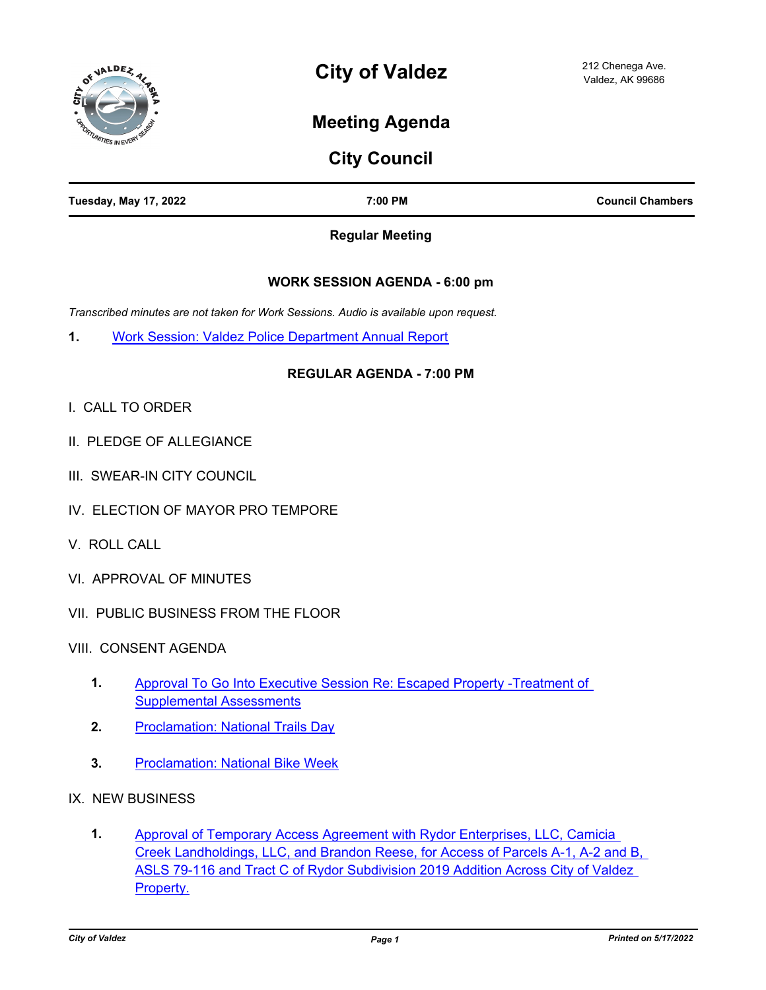

# **Meeting Agenda**

# **City Council**

| <b>Tuesday, May 17, 2022</b> | 7:00 PM | <b>Council Chambers</b> |
|------------------------------|---------|-------------------------|
|                              |         |                         |

## **Regular Meeting**

# **WORK SESSION AGENDA - 6:00 pm**

*Transcribed minutes are not taken for Work Sessions. Audio is available upon request.*

**1.** [Work Session: Valdez Police Department Annual Report](http://valdez.legistar.com/gateway.aspx?m=l&id=/matter.aspx?key=8059)

# **REGULAR AGENDA - 7:00 PM**

- I. CALL TO ORDER
- II. PLEDGE OF ALLEGIANCE
- III. SWEAR-IN CITY COUNCIL
- IV. ELECTION OF MAYOR PRO TEMPORE
- V. ROLL CALL
- VI. APPROVAL OF MINUTES
- VII. PUBLIC BUSINESS FROM THE FLOOR
- VIII. CONSENT AGENDA
	- [Approval To Go Into Executive Session Re: Escaped Property -Treatment of](http://valdez.legistar.com/gateway.aspx?m=l&id=/matter.aspx?key=8064)  Supplemental Assessments **1.**
	- **2.** [Proclamation: National Trails Day](http://valdez.legistar.com/gateway.aspx?m=l&id=/matter.aspx?key=8065)
	- **3.** [Proclamation: National Bike Week](http://valdez.legistar.com/gateway.aspx?m=l&id=/matter.aspx?key=8066)
- IX. NEW BUSINESS
	- Approval of Temporary Access Agreement with Rydor Enterprises, LLC, Camicia [Creek Landholdings, LLC, and Brandon Reese, for Access of Parcels A-1, A-2 and B,](http://valdez.legistar.com/gateway.aspx?m=l&id=/matter.aspx?key=7964)  ASLS 79-116 and Tract C of Rydor Subdivision 2019 Addition Across City of Valdez Property. **1.**